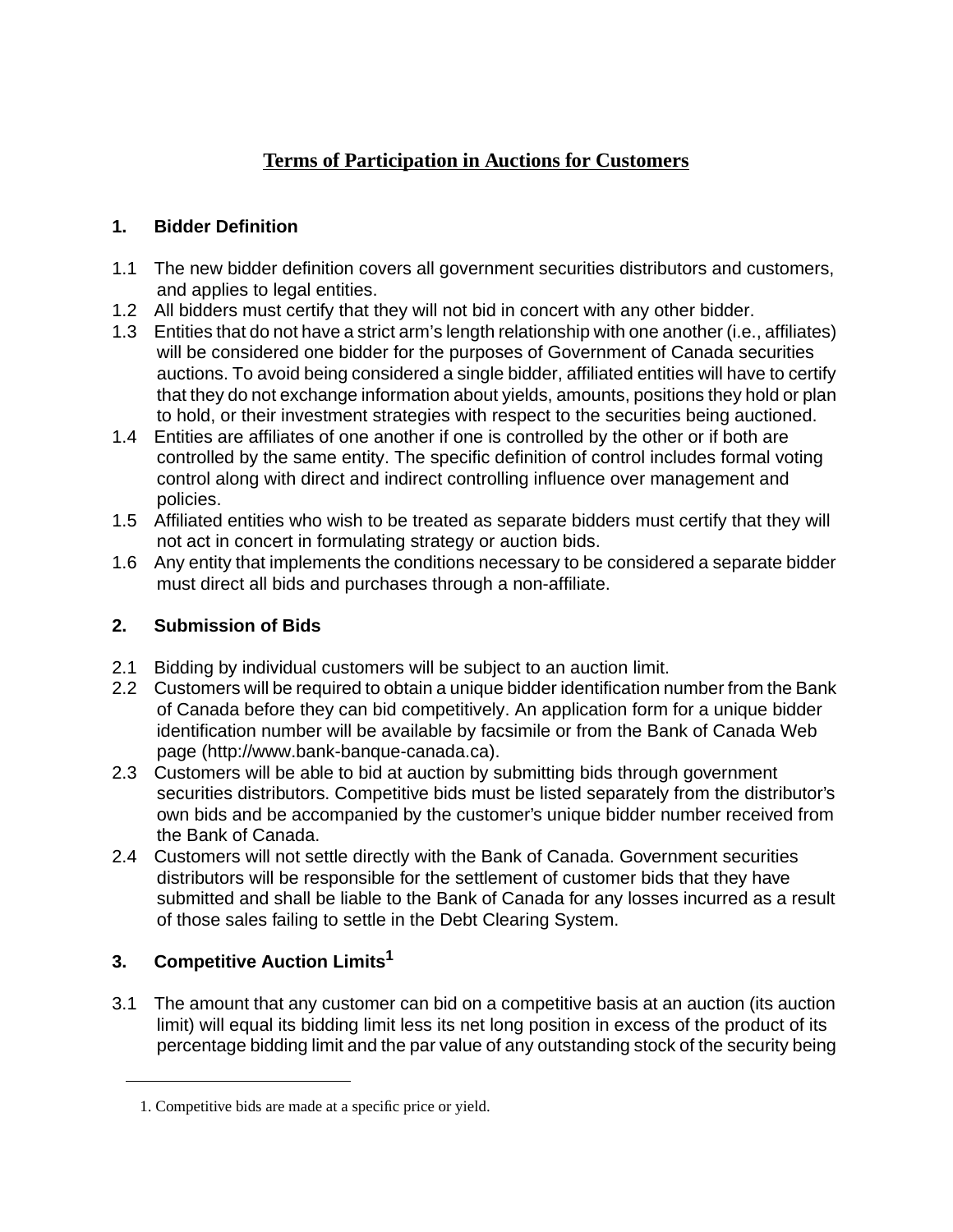# **Terms of Participation in Auctions for Customers**

## **1. Bidder Definition**

- 1.1 The new bidder definition covers all government securities distributors and customers, and applies to legal entities.
- 1.2 All bidders must certify that they will not bid in concert with any other bidder.
- 1.3 Entities that do not have a strict arm's length relationship with one another (i.e., affiliates) will be considered one bidder for the purposes of Government of Canada securities auctions. To avoid being considered a single bidder, affiliated entities will have to certify that they do not exchange information about yields, amounts, positions they hold or plan to hold, or their investment strategies with respect to the securities being auctioned.
- 1.4 Entities are affiliates of one another if one is controlled by the other or if both are controlled by the same entity. The specific definition of control includes formal voting control along with direct and indirect controlling influence over management and policies.
- 1.5 Affiliated entities who wish to be treated as separate bidders must certify that they will not act in concert in formulating strategy or auction bids.
- 1.6 Any entity that implements the conditions necessary to be considered a separate bidder must direct all bids and purchases through a non-affiliate.

### **2. Submission of Bids**

- 2.1 Bidding by individual customers will be subject to an auction limit.
- 2.2 Customers will be required to obtain a unique bidder identification number from the Bank of Canada before they can bid competitively. An application form for a unique bidder identification number will be available by facsimile or from the Bank of Canada Web page (http://www.bank-banque-canada.ca).
- 2.3 Customers will be able to bid at auction by submitting bids through government securities distributors. Competitive bids must be listed separately from the distributor's own bids and be accompanied by the customer's unique bidder number received from the Bank of Canada.
- 2.4 Customers will not settle directly with the Bank of Canada. Government securities distributors will be responsible for the settlement of customer bids that they have submitted and shall be liable to the Bank of Canada for any losses incurred as a result of those sales failing to settle in the Debt Clearing System.

## **3. Competitive Auction Limits1**

3.1 The amount that any customer can bid on a competitive basis at an auction (its auction limit) will equal its bidding limit less its net long position in excess of the product of its percentage bidding limit and the par value of any outstanding stock of the security being

<sup>1.</sup> Competitive bids are made at a specific price or yield.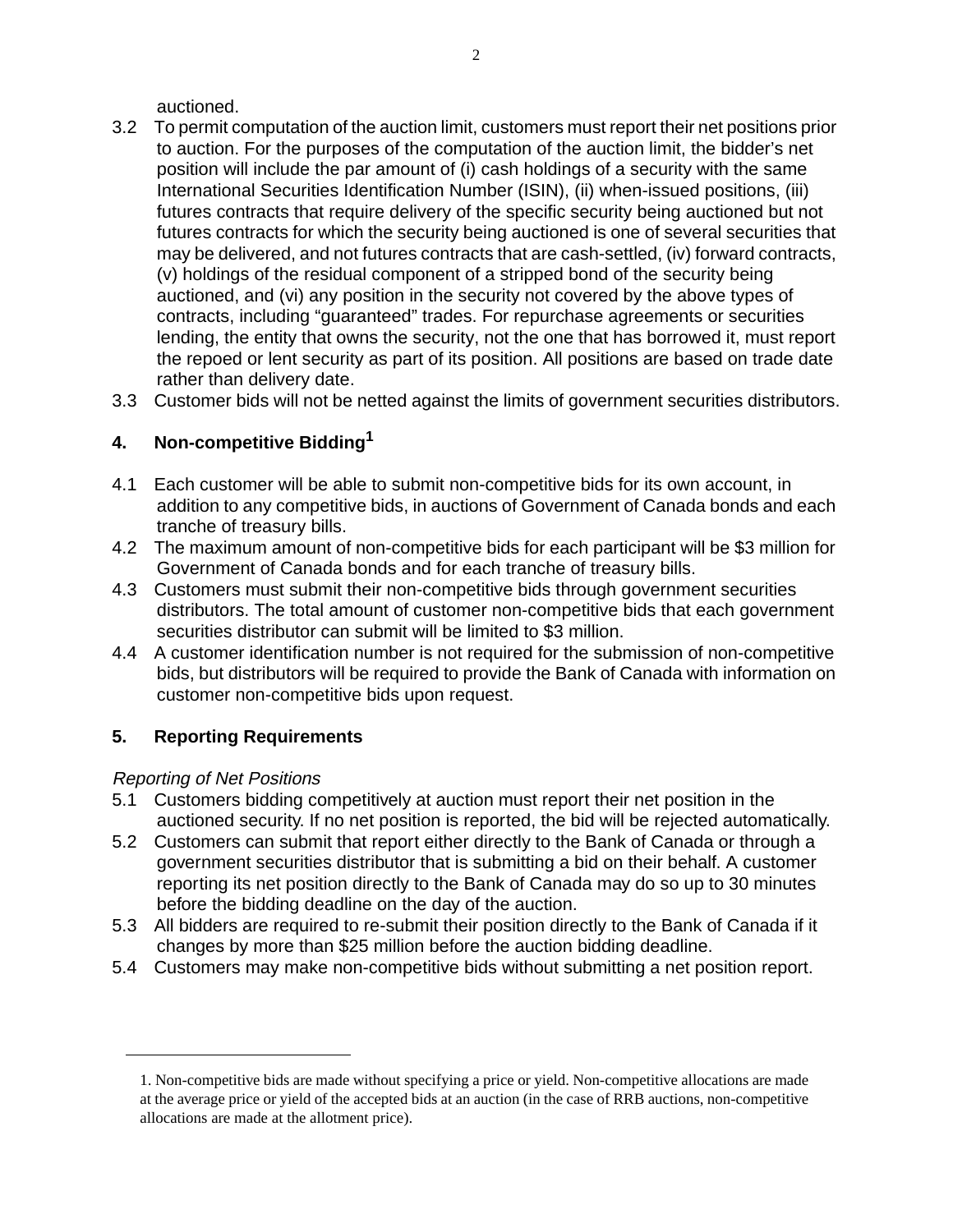auctioned.

- 3.2 To permit computation of the auction limit, customers must report their net positions prior to auction. For the purposes of the computation of the auction limit, the bidder's net position will include the par amount of (i) cash holdings of a security with the same International Securities Identification Number (ISIN), (ii) when-issued positions, (iii) futures contracts that require delivery of the specific security being auctioned but not futures contracts for which the security being auctioned is one of several securities that may be delivered, and not futures contracts that are cash-settled, (iv) forward contracts, (v) holdings of the residual component of a stripped bond of the security being auctioned, and (vi) any position in the security not covered by the above types of contracts, including "guaranteed" trades. For repurchase agreements or securities lending, the entity that owns the security, not the one that has borrowed it, must report the repoed or lent security as part of its position. All positions are based on trade date rather than delivery date.
- 3.3 Customer bids will not be netted against the limits of government securities distributors.

# **4. Non-competitive Bidding1**

- 4.1 Each customer will be able to submit non-competitive bids for its own account, in addition to any competitive bids, in auctions of Government of Canada bonds and each tranche of treasury bills.
- 4.2 The maximum amount of non-competitive bids for each participant will be \$3 million for Government of Canada bonds and for each tranche of treasury bills.
- 4.3 Customers must submit their non-competitive bids through government securities distributors. The total amount of customer non-competitive bids that each government securities distributor can submit will be limited to \$3 million.
- 4.4 A customer identification number is not required for the submission of non-competitive bids, but distributors will be required to provide the Bank of Canada with information on customer non-competitive bids upon request.

## **5. Reporting Requirements**

#### Reporting of Net Positions

- 5.1 Customers bidding competitively at auction must report their net position in the auctioned security. If no net position is reported, the bid will be rejected automatically.
- 5.2 Customers can submit that report either directly to the Bank of Canada or through a government securities distributor that is submitting a bid on their behalf. A customer reporting its net position directly to the Bank of Canada may do so up to 30 minutes before the bidding deadline on the day of the auction.
- 5.3 All bidders are required to re-submit their position directly to the Bank of Canada if it changes by more than \$25 million before the auction bidding deadline.
- 5.4 Customers may make non-competitive bids without submitting a net position report.

<sup>1.</sup> Non-competitive bids are made without specifying a price or yield. Non-competitive allocations are made at the average price or yield of the accepted bids at an auction (in the case of RRB auctions, non-competitive allocations are made at the allotment price).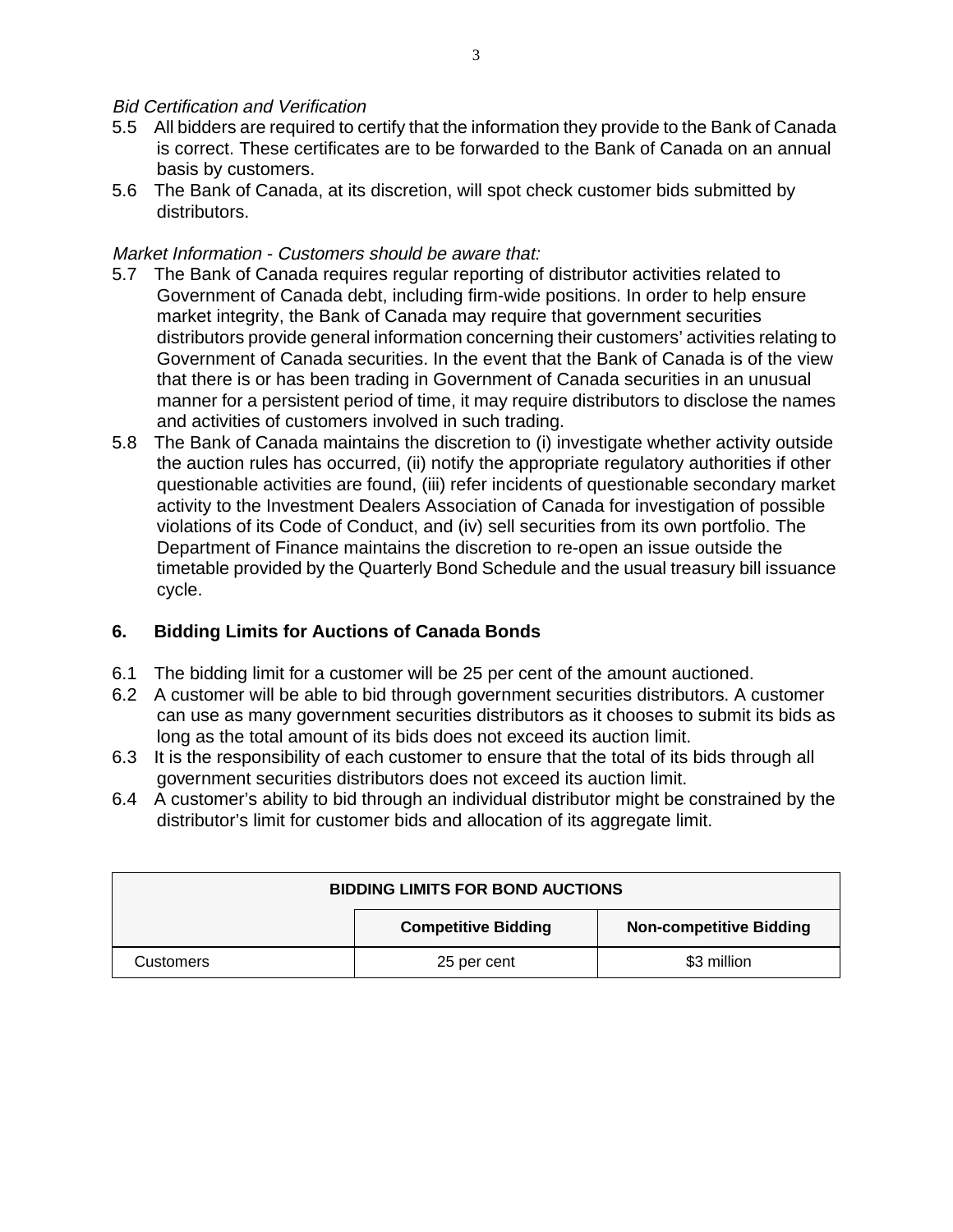#### Bid Certification and Verification

- 5.5 All bidders are required to certify that the information they provide to the Bank of Canada is correct. These certificates are to be forwarded to the Bank of Canada on an annual basis by customers.
- 5.6 The Bank of Canada, at its discretion, will spot check customer bids submitted by distributors.

#### Market Information - Customers should be aware that:

- 5.7 The Bank of Canada requires regular reporting of distributor activities related to Government of Canada debt, including firm-wide positions. In order to help ensure market integrity, the Bank of Canada may require that government securities distributors provide general information concerning their customers' activities relating to Government of Canada securities. In the event that the Bank of Canada is of the view that there is or has been trading in Government of Canada securities in an unusual manner for a persistent period of time, it may require distributors to disclose the names and activities of customers involved in such trading.
- 5.8 The Bank of Canada maintains the discretion to (i) investigate whether activity outside the auction rules has occurred, (ii) notify the appropriate regulatory authorities if other questionable activities are found, (iii) refer incidents of questionable secondary market activity to the Investment Dealers Association of Canada for investigation of possible violations of its Code of Conduct, and (iv) sell securities from its own portfolio. The Department of Finance maintains the discretion to re-open an issue outside the timetable provided by the Quarterly Bond Schedule and the usual treasury bill issuance cycle.

#### **6. Bidding Limits for Auctions of Canada Bonds**

- 6.1 The bidding limit for a customer will be 25 per cent of the amount auctioned.
- 6.2 A customer will be able to bid through government securities distributors. A customer can use as many government securities distributors as it chooses to submit its bids as long as the total amount of its bids does not exceed its auction limit.
- 6.3 It is the responsibility of each customer to ensure that the total of its bids through all government securities distributors does not exceed its auction limit.
- 6.4 A customer's ability to bid through an individual distributor might be constrained by the distributor's limit for customer bids and allocation of its aggregate limit.

| <b>BIDDING LIMITS FOR BOND AUCTIONS</b> |                            |                                |
|-----------------------------------------|----------------------------|--------------------------------|
|                                         | <b>Competitive Bidding</b> | <b>Non-competitive Bidding</b> |
| Customers                               | 25 per cent                | \$3 million                    |